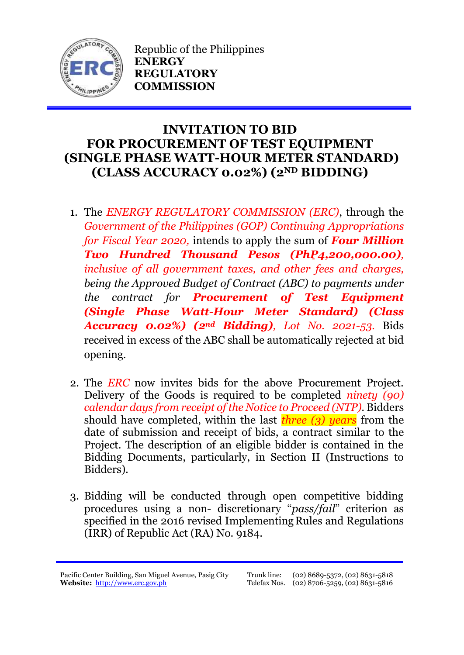

Republic of the Philippines **ENERGY REGULATORY COMMISSION**

## **INVITATION TO BID FOR PROCUREMENT OF TEST EQUIPMENT (SINGLE PHASE WATT-HOUR METER STANDARD) (CLASS ACCURACY 0.02%) (2ND BIDDING)**

- 1. The *ENERGY REGULATORY COMMISSION (ERC)*, through the *Government of the Philippines (GOP) Continuing Appropriations for Fiscal Year 2020,* intends to apply the sum of *Four Million Two Hundred Thousand Pesos (PhP4,200,000.00), inclusive of all government taxes, and other fees and charges, being the Approved Budget of Contract (ABC) to payments under the contract for Procurement of Test Equipment (Single Phase Watt-Hour Meter Standard) (Class Accuracy 0.02%) (2nd Bidding), Lot No. 2021-53.* Bids received in excess of the ABC shall be automatically rejected at bid opening.
- 2. The *ERC* now invites bids for the above Procurement Project. Delivery of the Goods is required to be completed *ninety (90) calendar days from receipt of the Notice to Proceed (NTP).* Bidders should have completed, within the last *three (3) years* from the date of submission and receipt of bids, a contract similar to the Project. The description of an eligible bidder is contained in the Bidding Documents, particularly, in Section II (Instructions to Bidders).
- 3. Bidding will be conducted through open competitive bidding procedures using a non- discretionary "*pass/fail*" criterion as specified in the 2016 revised Implementing Rules and Regulations (IRR) of Republic Act (RA) No. 9184.

Pacific Center Building, San Miguel Avenue, Pasig City **Website:** [http://www.erc.gov.ph](http://www.erc.gov.ph/)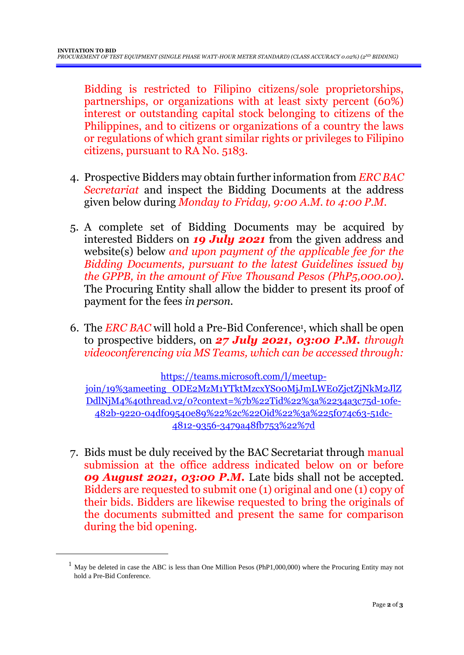Bidding is restricted to Filipino citizens/sole proprietorships, partnerships, or organizations with at least sixty percent (60%) interest or outstanding capital stock belonging to citizens of the Philippines, and to citizens or organizations of a country the laws or regulations of which grant similar rights or privileges to Filipino citizens, pursuant to RA No. 5183.

- 4. Prospective Bidders may obtain further information from *ERC BAC Secretariat* and inspect the Bidding Documents at the address given below during *Monday to Friday, 9:00 A.M. to 4:00 P.M*.
- 5. A complete set of Bidding Documents may be acquired by interested Bidders on *19 July 2021* from the given address and website(s) below *and upon payment of the applicable fee for the Bidding Documents, pursuant to the latest Guidelines issued by the GPPB, in the amount of Five Thousand Pesos (PhP5,000.00)*. The Procuring Entity shall allow the bidder to present its proof of payment for the fees *in person.*
- 6. The *ERC BAC* will hold a Pre-Bid Conference<sup>1</sup> , which shall be open to prospective bidders, on *27 July 2021, 03:00 P.M. through videoconferencing via MS Teams, which can be accessed through:*

[https://teams.microsoft.com/l/meetup-](https://teams.microsoft.com/l/meetup-join/19%3ameeting_ODE2MzM1YTktMzcxYS00MjJmLWE0ZjctZjNkM2JlZDdlNjM4%40thread.v2/0?context=%7b%22Tid%22%3a%2234a3c75d-10fe-482b-9220-04df09540e89%22%2c%22Oid%22%3a%225f074c63-51dc-4812-9356-3479a48fb753%22%7d)

[join/19%3ameeting\\_ODE2MzM1YTktMzcxYS00MjJmLWE0ZjctZjNkM2JlZ](https://teams.microsoft.com/l/meetup-join/19%3ameeting_ODE2MzM1YTktMzcxYS00MjJmLWE0ZjctZjNkM2JlZDdlNjM4%40thread.v2/0?context=%7b%22Tid%22%3a%2234a3c75d-10fe-482b-9220-04df09540e89%22%2c%22Oid%22%3a%225f074c63-51dc-4812-9356-3479a48fb753%22%7d) [DdlNjM4%40thread.v2/0?context=%7b%22Tid%22%3a%2234a3c75d-10fe-](https://teams.microsoft.com/l/meetup-join/19%3ameeting_ODE2MzM1YTktMzcxYS00MjJmLWE0ZjctZjNkM2JlZDdlNjM4%40thread.v2/0?context=%7b%22Tid%22%3a%2234a3c75d-10fe-482b-9220-04df09540e89%22%2c%22Oid%22%3a%225f074c63-51dc-4812-9356-3479a48fb753%22%7d)[482b-9220-04df09540e89%22%2c%22Oid%22%3a%225f074c63-51dc-](https://teams.microsoft.com/l/meetup-join/19%3ameeting_ODE2MzM1YTktMzcxYS00MjJmLWE0ZjctZjNkM2JlZDdlNjM4%40thread.v2/0?context=%7b%22Tid%22%3a%2234a3c75d-10fe-482b-9220-04df09540e89%22%2c%22Oid%22%3a%225f074c63-51dc-4812-9356-3479a48fb753%22%7d)[4812-9356-3479a48fb753%22%7d](https://teams.microsoft.com/l/meetup-join/19%3ameeting_ODE2MzM1YTktMzcxYS00MjJmLWE0ZjctZjNkM2JlZDdlNjM4%40thread.v2/0?context=%7b%22Tid%22%3a%2234a3c75d-10fe-482b-9220-04df09540e89%22%2c%22Oid%22%3a%225f074c63-51dc-4812-9356-3479a48fb753%22%7d)

7. Bids must be duly received by the BAC Secretariat through manual submission at the office address indicated below on or before *09 August 2021, 03:00 P.M.* Late bids shall not be accepted. Bidders are requested to submit one (1) original and one (1) copy of their bids. Bidders are likewise requested to bring the originals of the documents submitted and present the same for comparison during the bid opening.

<u>.</u>

 $1$  May be deleted in case the ABC is less than One Million Pesos (PhP1,000,000) where the Procuring Entity may not hold a Pre-Bid Conference.